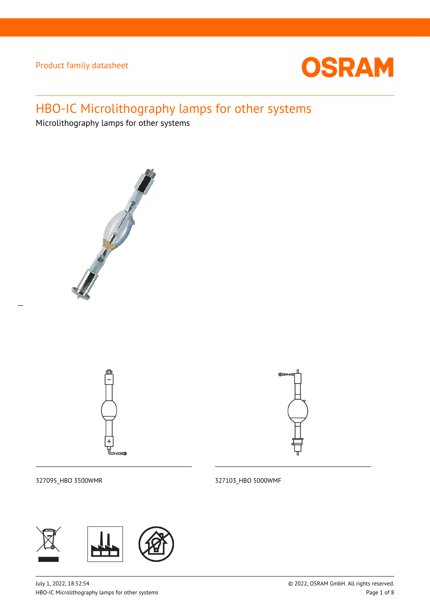

# HBO-IC Microlithography lamps for other systems

Microlithography lamps for other systems







327095\_HBO 3500WMR 327103\_HBO 5000WMF

 $\overline{a}$ 



July 1, 2022, 18:52:54 © 2022, OSRAM GmbH. All rights reserved. HBO-IC Microlithography lamps for other systems **Page 1** of 8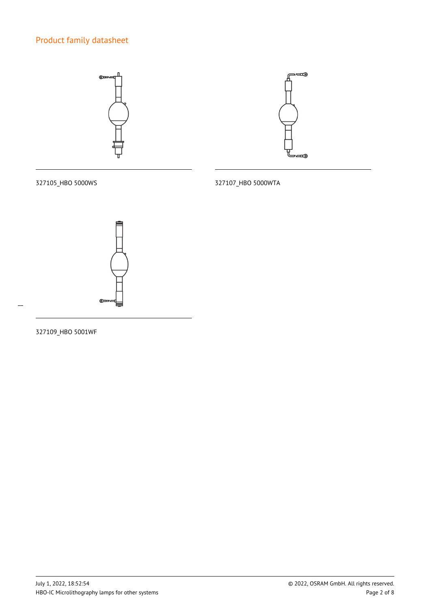

327105\_HBO 5000WS 327107\_HBO 5000WTA



 $\overline{a}$ 

327109\_HBO 5001WF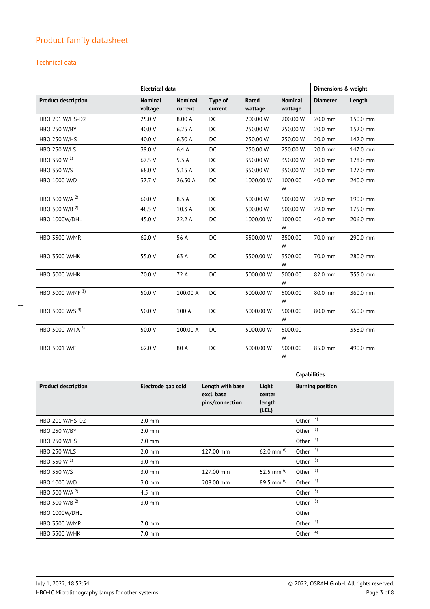### Technical data

|                            | <b>Electrical data</b>    |                           |                    |                  | Dimensions & weight       |                 |          |
|----------------------------|---------------------------|---------------------------|--------------------|------------------|---------------------------|-----------------|----------|
| <b>Product description</b> | <b>Nominal</b><br>voltage | <b>Nominal</b><br>current | Type of<br>current | Rated<br>wattage | <b>Nominal</b><br>wattage | <b>Diameter</b> | Length   |
| HBO 201 W/HS-D2            | 25.0 V                    | 8.00 A                    | <b>DC</b>          | 200.00 W         | 200.00 W                  | 20.0 mm         | 150.0 mm |
| <b>HBO 250 W/BY</b>        | 40.0 V                    | 6.25A                     | DC                 | 250.00 W         | 250.00 W                  | 20.0 mm         | 152.0 mm |
| <b>HBO 250 W/HS</b>        | 40.0 V                    | 6.30 A                    | DC                 | 250.00 W         | 250.00 W                  | 20.0 mm         | 142.0 mm |
| <b>HBO 250 W/LS</b>        | 39.0 V                    | 6.4A                      | DC                 | 250.00 W         | 250.00 W                  | 20.0 mm         | 147.0 mm |
| HBO 350 W <sup>1)</sup>    | 67.5 V                    | 5.3A                      | <b>DC</b>          | 350.00 W         | 350.00 W                  | 20.0 mm         | 128.0 mm |
| HBO 350 W/S                | 68.0 V                    | 5.15 A                    | <b>DC</b>          | 350.00 W         | 350.00 W                  | 20.0 mm         | 127.0 mm |
| HBO 1000 W/D               | 37.7 V                    | 26.50 A                   | DC                 | 1000.00 W        | 1000.00<br>W              | 40.0 mm         | 240.0 mm |
| HBO 500 W/A <sup>2)</sup>  | 60.0 V                    | 8.3 A                     | DC                 | 500.00 W         | 500.00 W                  | 29.0 mm         | 190.0 mm |
| HBO 500 W/B 2)             | 48.5 V                    | 10.3 A                    | DC                 | 500.00 W         | 500.00 W                  | 29.0 mm         | 175.0 mm |
| HBO 1000W/DHL              | 45.0 V                    | 22.2 A                    | <b>DC</b>          | 1000.00 W        | 1000.00<br>W              | 40.0 mm         | 206.0 mm |
| HBO 3500 W/MR              | 62.0 V                    | 56 A                      | DC                 | 3500.00 W        | 3500.00<br>W              | 70.0 mm         | 290.0 mm |
| <b>HBO 3500 W/HK</b>       | 55.0 V                    | 63 A                      | <b>DC</b>          | 3500.00 W        | 3500.00<br>W              | 70.0 mm         | 280.0 mm |
| <b>HBO 5000 W/HK</b>       | 70.0 V                    | 72 A                      | DC                 | 5000.00 W        | 5000.00<br>W              | 82.0 mm         | 355.0 mm |
| HBO 5000 W/MF 3)           | 50.0 V                    | 100.00 A                  | DC                 | 5000.00 W        | 5000.00<br>W              | 80.0 mm         | 360.0 mm |
| HBO 5000 W/S 3)            | 50.0 V                    | 100 A                     | DC                 | 5000.00 W        | 5000.00<br>W              | 80.0 mm         | 360.0 mm |
| HBO 5000 W/TA 3)           | 50.0 V                    | 100.00 A                  | DC                 | 5000.00 W        | 5000.00<br>W              |                 | 358.0 mm |
| HBO 5001 W/F               | 62.0 V                    | 80 A                      | <b>DC</b>          | 5000.00 W        | 5000.00<br>W              | 85.0 mm         | 490.0 mm |

|                            |                    |                                                   |                                    | <b>Capabilities</b>     |
|----------------------------|--------------------|---------------------------------------------------|------------------------------------|-------------------------|
| <b>Product description</b> | Electrode gap cold | Length with base<br>excl. base<br>pins/connection | Light<br>center<br>length<br>(LCL) | <b>Burning position</b> |
| HBO 201 W/HS-D2            | $2.0 \text{ mm}$   |                                                   |                                    | Other $4)$              |
| <b>HBO 250 W/BY</b>        | $2.0 \text{ mm}$   |                                                   |                                    | - 5)<br>Other           |
| <b>HBO 250 W/HS</b>        | $2.0 \text{ mm}$   |                                                   |                                    | Other $5)$              |
| <b>HBO 250 W/LS</b>        | $2.0 \text{ mm}$   | 127.00 mm                                         | 62.0 mm $^{6}$                     | Other $5$ )             |
| HBO 350 W <sup>1)</sup>    | $3.0 \text{ mm}$   |                                                   |                                    | Other $5$ )             |
| <b>HBO 350 W/S</b>         | $3.0 \text{ mm}$   | 127.00 mm                                         | 52.5 mm $^{6)}$                    | Other $5$               |
| HBO 1000 W/D               | $3.0 \text{ mm}$   | 208.00 mm                                         | 89.5 mm $^{6)}$                    | Other $5$ )             |
| HBO 500 W/A <sup>2)</sup>  | $4.5$ mm           |                                                   |                                    | Other $5$ )             |
| HBO 500 W/B <sup>2)</sup>  | $3.0 \text{ mm}$   |                                                   |                                    | 5)<br>Other             |
| HBO 1000W/DHL              |                    |                                                   |                                    | Other                   |
| HBO 3500 W/MR              | $7.0 \text{ mm}$   |                                                   |                                    | Other $5)$              |
| <b>HBO 3500 W/HK</b>       | $7.0 \text{ mm}$   |                                                   |                                    | Other $4)$              |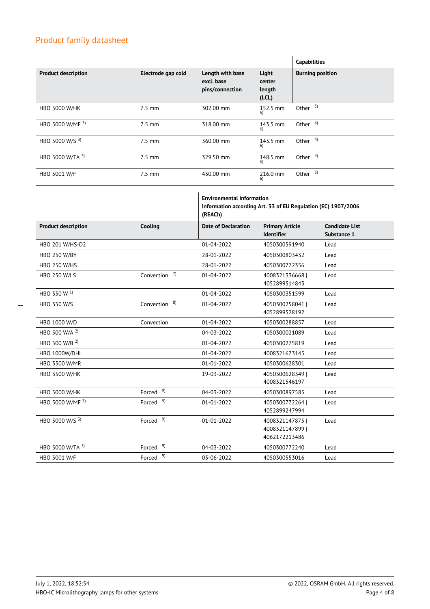|                            |                    |                                                   |                                    | <b>Capabilities</b>     |
|----------------------------|--------------------|---------------------------------------------------|------------------------------------|-------------------------|
| <b>Product description</b> | Electrode gap cold | Length with base<br>excl. base<br>pins/connection | Light<br>center<br>length<br>(LCL) | <b>Burning position</b> |
| <b>HBO 5000 W/HK</b>       | $7.5 \text{ mm}$   | 302.00 mm                                         | 152.5 mm<br>6)                     | Other $5$               |
| HBO 5000 W/MF 3)           | $7.5 \text{ mm}$   | 318.00 mm                                         | 143.5 mm<br>6)                     | Other $4)$              |
| HBO 5000 W/S 3)            | $7.5 \text{ mm}$   | 360.00 mm                                         | 143.5 mm<br>6)                     | Other $4)$              |
| HBO 5000 W/TA 3)           | $7.5 \text{ mm}$   | 329.50 mm                                         | 148.5 mm<br>6)                     | Other <sup>4)</sup>     |
| <b>HBO 5001 W/F</b>        | $7.5 \text{ mm}$   | 430.00 mm                                         | 216.0 mm<br>6)                     | Other $5$               |

|                            |                      | <b>Environmental information</b><br>Information according Art. 33 of EU Regulation (EC) 1907/2006<br>(REACh) |                                                    |                                      |
|----------------------------|----------------------|--------------------------------------------------------------------------------------------------------------|----------------------------------------------------|--------------------------------------|
| <b>Product description</b> | Cooling              | <b>Date of Declaration</b>                                                                                   | <b>Primary Article</b><br><b>Identifier</b>        | <b>Candidate List</b><br>Substance 1 |
| HBO 201 W/HS-D2            |                      | $01 - 04 - 2022$                                                                                             | 4050300591940                                      | Lead                                 |
| <b>HBO 250 W/BY</b>        |                      | 28-01-2022                                                                                                   | 4050300803432                                      | Lead                                 |
| <b>HBO 250 W/HS</b>        |                      | 28-01-2022                                                                                                   | 4050300772356                                      | Lead                                 |
| <b>HBO 250 W/LS</b>        | 7)<br>Convection     | 01-04-2022                                                                                                   | 4008321336668  <br>4052899514843                   | Lead                                 |
| HBO 350 W <sup>1)</sup>    |                      | $01 - 04 - 2022$                                                                                             | 4050300351599                                      | Lead                                 |
| HBO 350 W/S                | 8)<br>Convection     | 01-04-2022                                                                                                   | 4050300258041  <br>4052899528192                   | Lead                                 |
| HBO 1000 W/D               | Convection           | $01 - 04 - 2022$                                                                                             | 4050300288857                                      | Lead                                 |
| HBO 500 W/A <sup>2)</sup>  |                      | 04-03-2022                                                                                                   | 4050300021089                                      | Lead                                 |
| HBO 500 W/B <sup>2)</sup>  |                      | $01 - 04 - 2022$                                                                                             | 4050300275819                                      | Lead                                 |
| HBO 1000W/DHL              |                      | $01 - 04 - 2022$                                                                                             | 4008321673145                                      | Lead                                 |
| HBO 3500 W/MR              |                      | 01-01-2022                                                                                                   | 4050300628301                                      | Lead                                 |
| <b>HBO 3500 W/HK</b>       |                      | 19-03-2022                                                                                                   | 40503006283491<br>4008321546197                    | Lead                                 |
| <b>HBO 5000 W/HK</b>       | Forced <sup>9)</sup> | 04-03-2022                                                                                                   | 4050300897585                                      | Lead                                 |
| HBO 5000 W/MF 3)           | Forced <sup>9)</sup> | 01-01-2022                                                                                                   | 40503007722641<br>4052899247994                    | Lead                                 |
| HBO 5000 W/S 3)            | Forced <sup>9)</sup> | 01-01-2022                                                                                                   | 4008321147875  <br>40083211478991<br>4062172213486 | Lead                                 |
| HBO 5000 W/TA 3)           | Forced <sup>9)</sup> | 04-03-2022                                                                                                   | 4050300772240                                      | Lead                                 |
| HBO 5001 W/F               | Forced <sup>9)</sup> | 03-06-2022                                                                                                   | 4050300553016                                      | Lead                                 |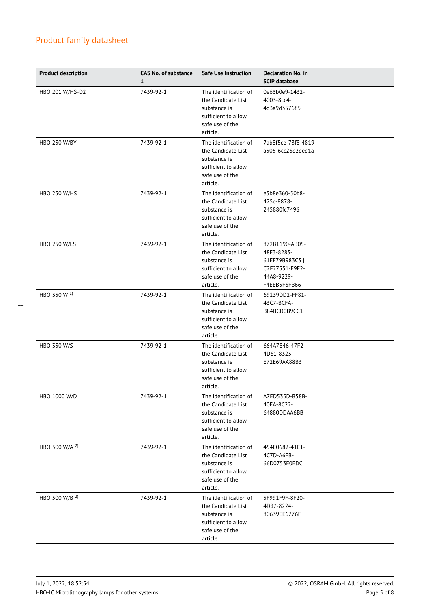| <b>Product description</b> | <b>CAS No. of substance</b><br>$\mathbf{1}$ | Safe Use Instruction                                                                                              | <b>Declaration No. in</b><br><b>SCIP database</b>                                              |
|----------------------------|---------------------------------------------|-------------------------------------------------------------------------------------------------------------------|------------------------------------------------------------------------------------------------|
| HBO 201 W/HS-D2            | 7439-92-1                                   | The identification of<br>the Candidate List<br>substance is<br>sufficient to allow<br>safe use of the<br>article. | 0e66b0e9-1432-<br>4003-8cc4-<br>4d3a9d357685                                                   |
| <b>HBO 250 W/BY</b>        | 7439-92-1                                   | The identification of<br>the Candidate List<br>substance is<br>sufficient to allow<br>safe use of the<br>article. | 7ab8f5ce-73f8-4819-<br>a505-6cc26d2ded1a                                                       |
| <b>HBO 250 W/HS</b>        | 7439-92-1                                   | The identification of<br>the Candidate List<br>substance is<br>sufficient to allow<br>safe use of the<br>article. | e5b8e360-50b8-<br>425c-8878-<br>245880fc7496                                                   |
| <b>HBO 250 W/LS</b>        | 7439-92-1                                   | The identification of<br>the Candidate List<br>substance is<br>sufficient to allow<br>safe use of the<br>article. | 872B1190-AB05-<br>48F3-8283-<br>61EF79B983C3  <br>C2F27551-E9F2-<br>44A8-9229-<br>F4EEB5F6FB66 |
| HBO 350 W <sup>1)</sup>    | 7439-92-1                                   | The identification of<br>the Candidate List<br>substance is<br>sufficient to allow<br>safe use of the<br>article. | 69139DD2-FF81-<br>43C7-BCFA-<br>B84BCD0B9CC1                                                   |
| HBO 350 W/S                | 7439-92-1                                   | The identification of<br>the Candidate List<br>substance is<br>sufficient to allow<br>safe use of the<br>article. | 664A7846-47F2-<br>4D61-8323-<br>E72E69AA88B3                                                   |
| HBO 1000 W/D               | 7439-92-1                                   | The identification of<br>the Candidate List<br>substance is<br>sufficient to allow<br>safe use of the<br>article. | A7ED535D-B58B-<br>40EA-8C22-<br>64880DDAA6BB                                                   |
| HBO 500 W/A <sup>2)</sup>  | 7439-92-1                                   | The identification of<br>the Candidate List<br>substance is<br>sufficient to allow<br>safe use of the<br>article. | 454E0682-41E1-<br>4C7D-A6FB-<br>66D0753E0EDC                                                   |
| HBO 500 W/B <sup>2)</sup>  | 7439-92-1                                   | The identification of<br>the Candidate List<br>substance is<br>sufficient to allow<br>safe use of the<br>article. | 5F991F9F-8F20-<br>4D97-8224-<br>80639EE6776F                                                   |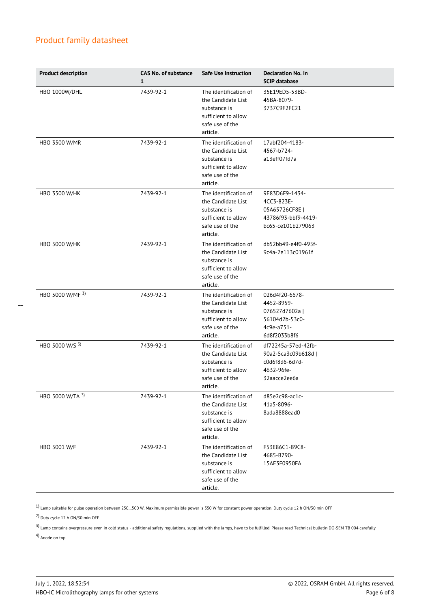| <b>Product description</b> | <b>CAS No. of substance</b><br>$\mathbf{1}$ | Safe Use Instruction                                                                                              | <b>Declaration No. in</b><br><b>SCIP database</b>                                              |
|----------------------------|---------------------------------------------|-------------------------------------------------------------------------------------------------------------------|------------------------------------------------------------------------------------------------|
| HBO 1000W/DHL              | 7439-92-1                                   | The identification of<br>the Candidate List<br>substance is<br>sufficient to allow<br>safe use of the<br>article. | 35E19ED5-53BD-<br>45BA-8079-<br>3737C9F2FC21                                                   |
| HBO 3500 W/MR              | 7439-92-1                                   | The identification of<br>the Candidate List<br>substance is<br>sufficient to allow<br>safe use of the<br>article. | 17abf204-4183-<br>4567-b724-<br>a13eff07fd7a                                                   |
| HBO 3500 W/HK              | 7439-92-1                                   | The identification of<br>the Candidate List<br>substance is<br>sufficient to allow<br>safe use of the<br>article. | 9E83D6F9-1434-<br>4CC3-823E-<br>05A65726CF8E  <br>43786f93-bbf9-4419-<br>bc65-ce101b279063     |
| <b>HBO 5000 W/HK</b>       | 7439-92-1                                   | The identification of<br>the Candidate List<br>substance is<br>sufficient to allow<br>safe use of the<br>article. | db52bb49-e4f0-495f-<br>9c4a-2e113c01961f                                                       |
| HBO 5000 W/MF 3)           | 7439-92-1                                   | The identification of<br>the Candidate List<br>substance is<br>sufficient to allow<br>safe use of the<br>article. | 026d4f20-6678-<br>4452-8959-<br>076527d7602a  <br>56104d2b-53c0-<br>4c9e-a751-<br>6d8f2033b8f6 |
| HBO 5000 W/S 3)            | 7439-92-1                                   | The identification of<br>the Candidate List<br>substance is<br>sufficient to allow<br>safe use of the<br>article. | df72245a-57ed-42fb-<br>90a2-5ca3c09b618d  <br>c0d6f8d6-6d7d-<br>4632-96fe-<br>32aacce2ee6a     |
| HBO 5000 W/TA 3)           | 7439-92-1                                   | The identification of<br>the Candidate List<br>substance is<br>sufficient to allow<br>safe use of the<br>article. | d85e2c98-ac1c-<br>41a5-8096-<br>8ada8888ead0                                                   |
| HBO 5001 W/F               | 7439-92-1                                   | The identification of<br>the Candidate List<br>substance is<br>sufficient to allow<br>safe use of the<br>article. | F53E86C1-B9C8-<br>4685-B790-<br>15AE3F0950FA                                                   |

 $1)$  Lamp suitable for pulse operation between 250...500 W. Maximum permissible power is 350 W for constant power operation. Duty cycle 12 h ON/30 min OFF

2) Duty cycle 12 h ON/30 min OFF

 $^{3}$ ) Lamp contains overpressure even in cold status - additional safety regulations, supplied with the lamps, have to be fulfilled. Please read Technical bulletin DO-SEM TB 004 carefully

4) Anode on top

 $\overline{a}$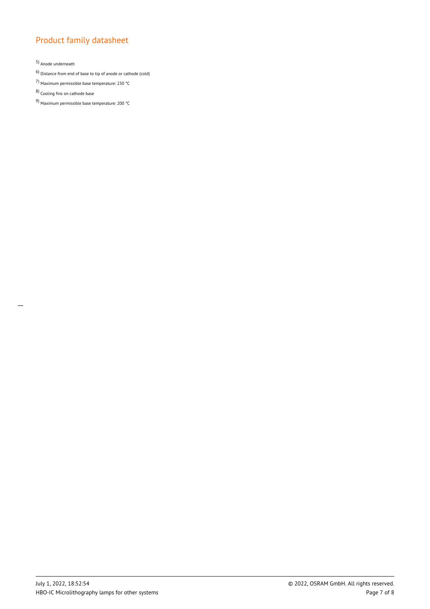5) Anode underneath

 $\overline{a}$ 

6) Distance from end of base to tip of anode or cathode (cold)

- 7) Maximum permissible base temperature: 230 °C
- 8) Cooling fins on cathode base
- 9) Maximum permissible base temperature: 200 °C